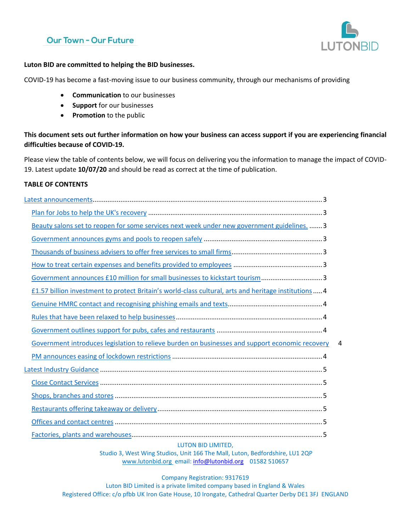## **Our Town - Our Future**



#### **Luton BID are committed to helping the BID businesses.**

COVID-19 has become a fast-moving issue to our business community, through our mechanisms of providing

- **Communication** to our businesses
- **Support** for our businesses
- **Promotion** to the public

**This document sets out further information on how your business can access support if you are experiencing financial difficulties because of COVID-19.** 

Please view the table of contents below, we will focus on delivering you the information to manage the impact of COVID-19. Latest update **10/07/20** and should be read as correct at the time of publication.

#### **TABLE OF CONTENTS**

| Beauty salons set to reopen for some services next week under new government guidelines.  3          |   |
|------------------------------------------------------------------------------------------------------|---|
|                                                                                                      |   |
|                                                                                                      |   |
|                                                                                                      |   |
| Government announces £10 million for small businesses to kickstart tourism3                          |   |
| £1.57 billion investment to protect Britain's world-class cultural, arts and heritage institutions 4 |   |
|                                                                                                      |   |
|                                                                                                      |   |
|                                                                                                      |   |
| Government introduces legislation to relieve burden on businesses and support economic recovery      | 4 |
|                                                                                                      |   |
|                                                                                                      |   |
|                                                                                                      |   |
|                                                                                                      |   |
|                                                                                                      |   |
|                                                                                                      |   |
|                                                                                                      |   |
|                                                                                                      |   |

#### LUTON BID LIMITED,

Studio 3, West Wing Studios, Unit 166 The Mall, Luton, Bedfordshire, LU1 2QP [www.lutonbid.org](http://www.lutonbid.org/) email: [info@lutonbid.org](mailto:info@lutonbid.org) 01582 510657

#### Company Registration: 9317619

Luton BID Limited is a private limited company based in England & Wales Registered Office: c/o pfbb UK Iron Gate House, 10 Irongate, Cathedral Quarter Derby DE1 3FJ ENGLAND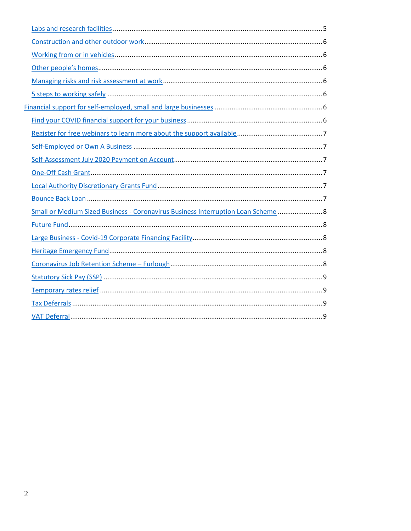| Small or Medium Sized Business - Coronavirus Business Interruption Loan Scheme  8 |
|-----------------------------------------------------------------------------------|
|                                                                                   |
|                                                                                   |
|                                                                                   |
|                                                                                   |
|                                                                                   |
|                                                                                   |
|                                                                                   |
|                                                                                   |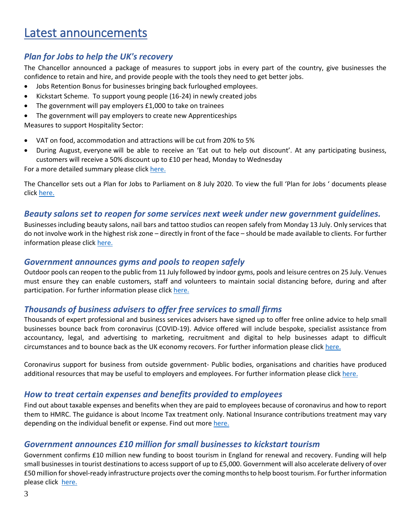# <span id="page-2-0"></span>Latest announcements

## <span id="page-2-1"></span>*Plan for Jobs to help the UK's recovery*

The Chancellor announced a package of measures to support jobs in every part of the country, give businesses the confidence to retain and hire, and provide people with the tools they need to get better jobs.

- Jobs Retention Bonus for businesses bringing back furloughed employees.
- Kickstart Scheme. To support young people (16-24) in newly created jobs
- The government will pay employers £1,000 to take on trainees
- The government will pay employers to create new Apprenticeships

Measures to support Hospitality Sector:

- VAT on food, accommodation and attractions will be cut from 20% to 5%
- During August, everyone will be able to receive an 'Eat out to help out discount'. At any participating business, customers will receive a 50% discount up to £10 per head, Monday to Wednesday

For a more detailed summary please clic[k here.](https://www.gov.uk/government/news/rishis-plan-for-jobs-will-help-britain-bounce-back)

The Chancellor sets out a Plan for Jobs to Parliament on 8 July 2020. To view the full 'Plan for Jobs ' documents please click [here.](https://assets.publishing.service.gov.uk/government/uploads/system/uploads/attachment_data/file/898421/A_Plan_for_Jobs__Web_.pdf)

#### <span id="page-2-2"></span>*Beauty salons set to reopen for some services next week under new government guidelines.*

Businesses including beauty salons, nail bars and tattoo studios can reopen safely from Monday 13 July. Only services that do not involve work in the highest risk zone – directly in front of the face – should be made available to clients. For further information please click [here.](https://www.gov.uk/government/news/beauty-salons-set-to-reopen-for-some-services-next-week-under-new-government-guidelines)

#### <span id="page-2-3"></span>*Government announces gyms and pools to reopen safely*

Outdoor pools can reopen to the public from 11 July followed by indoor gyms, pools and leisure centres on 25 July. Venues must ensure they can enable customers, staff and volunteers to maintain social distancing before, during and after participation. For further information please click [here.](https://www.gov.uk/government/news/government-announces-gyms-and-pools-to-reopen-safely)

#### <span id="page-2-4"></span>*Thousands of business advisers to offer free services to small firms*

Thousands of expert professional and business services advisers have signed up to offer free online advice to help small businesses bounce back from coronavirus (COVID-19). Advice offered will include bespoke, specialist assistance from accountancy, legal, and advertising to marketing, recruitment and digital to help businesses adapt to difficult circumstances and to bounce back as the UK economy recovers. For further information please click [here.](https://www.gov.uk/government/news/thousands-of-business-advisers-to-offer-free-services-to-small-firms)

Coronavirus support for business from outside government- Public bodies, organisations and charities have produced additional resources that may be useful to employers and employees. For further information please click [here.](https://www.gov.uk/guidance/coronavirus-support-for-business-from-outside-government?utm_source=72217b78-158a-420e-8410-76f6f8136e8c&utm_medium=email&utm_campaign=govuk-notifications&utm_content=daily)

#### <span id="page-2-5"></span>*How to treat certain expenses and benefits provided to employees*

Find out about taxable expenses and benefits when they are paid to employees because of coronavirus and how to report them to HMRC. The guidance is about Income Tax treatment only. [National Insurance](https://www.gov.uk/national-insurance-classes) contributions treatment may vary depending on the individual benefit or expense. Find out more [here.](https://www.gov.uk/guidance/how-to-treat-certain-expenses-and-benefits-provided-to-employees-during-coronavirus-covid-19?utm_source=7fe67de2-f8be-45d4-89ee-331b95153b1a&utm_medium=email&utm_campaign=govuk-notifications&utm_content=daily)

## <span id="page-2-6"></span>*Government announces £10 million for small businesses to kickstart tourism*

Government confirms £10 million new funding to boost tourism in England for renewal and recovery. Funding will help small businesses in tourist destinations to access support of up to £5,000. Government will also accelerate delivery of over £50 million for shovel-ready infrastructure projects over the coming months to help boost tourism. For further information please click [here.](https://www.gov.uk/government/news/government-announces-10-million-for-small-businesses-to-kickstart-tourism)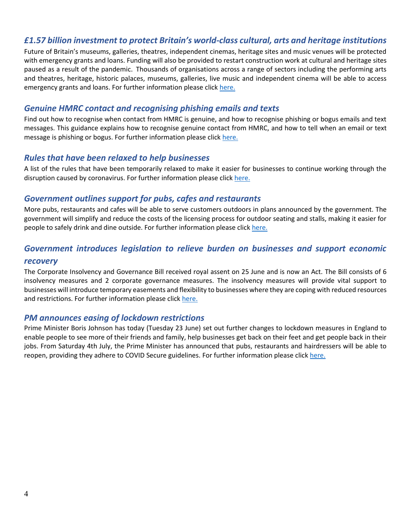## <span id="page-3-0"></span>*£1.57 billion investment to protect Britain's world-class cultural, arts and heritage institutions*

Future of Britain's museums, galleries, theatres, independent cinemas, heritage sites and music venues will be protected with emergency grants and loans. Funding will also be provided to restart construction work at cultural and heritage sites paused as a result of the pandemic. Thousands of organisations across a range of sectors including the performing arts and theatres, heritage, historic palaces, museums, galleries, live music and independent cinema will be able to access emergency grants and loans. For further information please click [here.](https://www.gov.uk/government/news/157-billion-investment-to-protect-britains-world-class-cultural-arts-and-heritage-institutions)

### <span id="page-3-1"></span>*Genuine HMRC contact and recognising phishing emails and texts*

Find out how to recognise when contact from HMRC is genuine, and how to recognise phishing or bogus emails and text messages. This guidance explains how to recognise genuine contact from HMRC, and how to tell when an email or text message is phishing or bogus. For further information please click [here.](https://www.gov.uk/government/publications/genuine-hmrc-contact-and-recognising-phishing-emails?utm_source=7a797eaf-de3f-4dd6-bdab-8e1ef50feb9a&utm_medium=email&utm_campaign=govuk-notifications&utm_content=daily)

#### <span id="page-3-2"></span>*Rules that have been relaxed to help businesses*

A list of the rules that have been temporarily relaxed to make it easier for businesses to continue working through the disruption caused by coronavirus. For further information please click [here.](https://www.gov.uk/guidance/rules-that-have-been-relaxed-to-help-businesses-during-the-coronavirus-pandemic)

## <span id="page-3-3"></span>*Government outlines support for pubs, cafes and restaurants*

More pubs, restaurants and cafes will be able to serve customers outdoors in plans announced by the government. The government will simplify and reduce the costs of the licensing process for outdoor seating and stalls, making it easier for people to safely drink and dine outside. For further information please click [here.](https://www.gov.uk/government/news/government-outlines-support-for-pubs-cafes-and-restaurants)

# <span id="page-3-4"></span>*Government introduces legislation to relieve burden on businesses and support economic recovery*

The Corporate Insolvency and Governance Bill received royal assent on 25 June and is now an Act. The Bill consists of 6 insolvency measures and 2 corporate governance measures. The insolvency measures will provide vital support to businesses will introduce temporary easements and flexibility to businesses where they are coping with reduced resources and restrictions. For further information please click [here.](https://www.gov.uk/government/news/government-introduces-legislation-to-relieve-burden-on-businesses-and-support-economic-recovery?utm_source=2eb97745-ee70-4ef7-8a47-a96433265320&utm_medium=email&utm_campaign=govuk-notifications&utm_content=daily)

#### <span id="page-3-5"></span>*PM announces easing of lockdown restrictions*

Prime Minister Boris Johnson has today (Tuesday 23 June) set out further changes to lockdown measures in England to enable people to see more of their friends and family, help businesses get back on their feet and get people back in their jobs. From Saturday 4th July, the Prime Minister has announced that pubs, restaurants and hairdressers will be able to reopen, providing they adhere to COVID Secure guidelines. For further information please click [here.](https://www.gov.uk/government/news/pm-announces-easing-of-lockdown-restrictions-23-june-2020)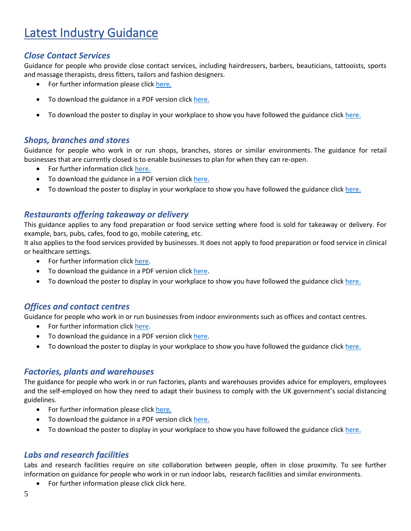# <span id="page-4-0"></span>Latest Industry Guidance

## <span id="page-4-1"></span>*Close Contact Services*

Guidance for people who provide close contact services, including hairdressers, barbers, beauticians, tattooists, sports and massage therapists, dress fitters, tailors and fashion designers.

- For further information please click [here.](https://www.gov.uk/guidance/working-safely-during-coronavirus-covid-19/close-contact-services)
- To download the guidance in a PDF version clic[k here.](https://assets.publishing.service.gov.uk/media/5ef2889986650c12970e9b57/Keeping-workers-and-clients-safe-during-covid-19-close-contact-services-230620.pdf)
- To download the poster to display in your workplace to show you have followed the guidance click [here.](https://assets.publishing.service.gov.uk/media/5ef2895ee90e075c5582f4d1/staying-covid-19-secure-accessible.pdf)

#### <span id="page-4-2"></span>*Shops, branches and stores*

Guidance for people who work in or run shops, branches, stores or similar environments. The guidance for retail businesses that are currently closed is to enable businesses to plan for when they can re-open.

- For further information click [here.](https://www.gov.uk/guidance/working-safely-during-coronavirus-covid-19/shops-and-branches)
- To download the guidance in a PDF version clic[k here.](https://assets.publishing.service.gov.uk/media/5eb9703de90e07082fa57ce0/working-safely-during-covid-19-shops-branches-110520.pdf)
- To download the poster to display in your workplace to show you have followed the guidance click [here.](https://assets.publishing.service.gov.uk/media/5ef2895ee90e075c5582f4d1/staying-covid-19-secure-accessible.pdf)

## <span id="page-4-3"></span>*Restaurants offering takeaway or delivery*

This guidance applies to any food preparation or food service setting where food is sold for takeaway or delivery. For example, bars, pubs, cafes, food to go, mobile catering, etc.

It also applies to the food services provided by businesses. It does not apply to food preparation or food service in clinical or healthcare settings.

- For further information click [here.](https://www.gov.uk/guidance/working-safely-during-coronavirus-covid-19/restaurants-offering-takeaway-or-delivery)
- To download the guidance in a PDF version clic[k here.](https://assets.publishing.service.gov.uk/media/5eb96e8e86650c278b077616/working-safely-during-covid-19-restaurants-takeaway-delivery-110520.pdf)
- To download the poster to display in your workplace to show you have followed the guidance click [here.](https://assets.publishing.service.gov.uk/media/5ef2895ee90e075c5582f4d1/staying-covid-19-secure-accessible.pdf)

## <span id="page-4-4"></span>*Offices and contact centres*

Guidance for people who work in or run businesses from indoor environments such as offices and contact centres.

- For further information click [here.](https://www.gov.uk/guidance/working-safely-during-coronavirus-covid-19/offices-and-contact-centres)
- To download the guidance in a PDF version clic[k here.](https://assets.publishing.service.gov.uk/media/5eb97e7686650c278d4496ea/working-safely-during-covid-19-offices-contact-centres-110520.pdf)
- To download the poster to display in your workplace to show you have followed the guidance click [here.](https://assets.publishing.service.gov.uk/media/5ef2895ee90e075c5582f4d1/staying-covid-19-secure-accessible.pdf)

#### <span id="page-4-5"></span>*Factories, plants and warehouses*

The guidance for people who work in or run factories, plants and warehouses provides advice for employers, employees and the self-employed on how they need to adapt their business to comply with the UK government's social distancing guidelines.

- For further information please click [here.](https://www.gov.uk/guidance/working-safely-during-coronavirus-covid-19/factories-plants-and-warehouses)
- To download the guidance in a PDF version clic[k here.](https://assets.publishing.service.gov.uk/media/5eb965d5d3bf7f5d3c74a2dd/working-safely-during-covid-19-factories-plants-warehouses-110520.pdf)
- To download the poster to display in your workplace to show you have followed the guidance click [here.](https://assets.publishing.service.gov.uk/media/5ef2895ee90e075c5582f4d1/staying-covid-19-secure-accessible.pdf)

## <span id="page-4-6"></span>*Labs and research facilities*

Labs and research facilities require on site collaboration between people, often in close proximity. To see further information on guidance for people who work in or run indoor labs, research facilities and similar environments.

• For further information please click click [here.](https://www.gov.uk/guidance/working-safely-during-coronavirus-covid-19/labs-and-research-facilities)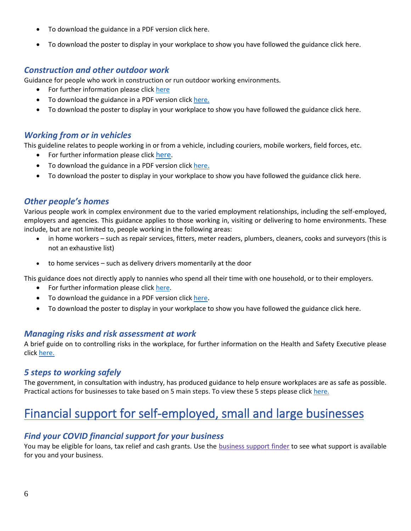- To download the guidance in a PDF version clic[k here.](https://assets.publishing.service.gov.uk/media/5eb9752086650c2799a57ac5/working-safely-during-covid-19-labs-research-facilities-110520.pdf)
- To download the poster to display in your workplace to show you have followed the guidance click [here.](https://assets.publishing.service.gov.uk/media/5ef2895ee90e075c5582f4d1/staying-covid-19-secure-accessible.pdf)

#### <span id="page-5-0"></span>*Construction and other outdoor work*

Guidance for people who work in construction or run outdoor working environments.

- For further information please click [here](https://www.gov.uk/guidance/working-safely-during-coronavirus-covid-19/construction-and-other-outdoor-work)
- To download the guidance in a PDF version clic[k here.](https://assets.publishing.service.gov.uk/media/5eb961bfe90e070834b6675f/working-safely-during-covid-19-construction-outdoors-110520.pdf)
- To download the poster to display in your workplace to show you have followed the guidance click [here.](https://assets.publishing.service.gov.uk/media/5ef2895ee90e075c5582f4d1/staying-covid-19-secure-accessible.pdf)

#### <span id="page-5-1"></span>*Working from or in vehicles*

This guideline relates to people working in or from a vehicle, including couriers, mobile workers, field forces, etc.

- For further information please click [here](https://www.gov.uk/guidance/working-safely-during-coronavirus-covid-19/vehicles).
- To download the guidance in a PDF version click [here](https://assets.publishing.service.gov.uk/media/5eb96cd6d3bf7f5d3a907e58/working-safely-during-covid-19-vehicles-110520.pdf)[.](https://assets.publishing.service.gov.uk/media/5eb96cd6d3bf7f5d3a907e58/working-safely-during-covid-19-vehicles-110520.pdf)
- To download the poster to display in your workplace to show you have followed the guidance click [here.](https://assets.publishing.service.gov.uk/media/5ef2895ee90e075c5582f4d1/staying-covid-19-secure-accessible.pdf)

#### <span id="page-5-2"></span>*Other people's homes*

Various people work in complex environment due to the varied employment relationships, including the self-employed, employers and agencies. This guidance applies to those working in, visiting or delivering to home environments. These include, but are not limited to, people working in the following areas:

- in home workers such as repair services, fitters, meter readers, plumbers, cleaners, cooks and surveyors (this is not an exhaustive list)
- to home services such as delivery drivers momentarily at the door

This guidance does not directly apply to nannies who spend all their time with one household, or to their employers.

- For further information please click [here.](https://www.gov.uk/guidance/working-safely-during-coronavirus-covid-19/homes)
- To download the guidance in a PDF version click [here](https://assets.publishing.service.gov.uk/media/5eb967e286650c2791ec7100/working-safely-during-covid-19-other-peoples-homes-110520.pdf).
- To download the poster to display in your workplace to show you have followed the guidance clic[k here.](https://assets.publishing.service.gov.uk/media/5ef2895ee90e075c5582f4d1/staying-covid-19-secure-accessible.pdf)

#### <span id="page-5-3"></span>*Managing risks and risk assessment at work*

A brief guide on to controlling risks in the workplace, for further information on the Health and Safety Executive please click [here.](https://www.hse.gov.uk/simple-health-safety/risk/index.htm)

#### <span id="page-5-4"></span>*5 steps to working safely*

The government, in consultation with industry, has produced guidance to help ensure workplaces are as safe as possible. Practical actions for businesses to take based on 5 main steps. To view these 5 steps please click [here.](https://www.gov.uk/guidance/working-safely-during-coronavirus-covid-19/5-steps-to-working-safely)

# <span id="page-5-5"></span>Financial support for self-employed, small and large businesses

## <span id="page-5-6"></span>*Find your COVID financial support for your business*

You may be eligible for loans, tax relief and cash grants. Use the [business](https://www.gov.uk/business-coronavirus-support-finder) support finder to see what support is available for you and your business.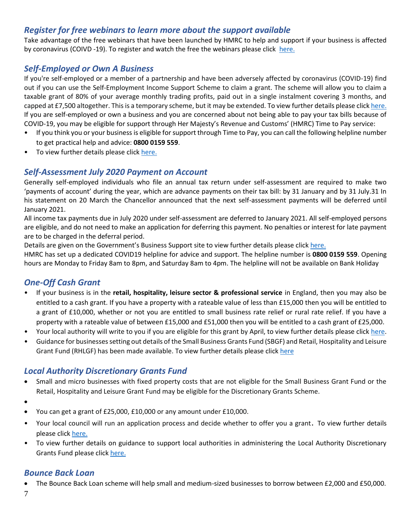## <span id="page-6-0"></span>*Register for free webinars to learn more about the support available*

Take advantage of the free webinars that have been launched by HMRC to help and support if your business is affected by coronavirus (COIVD -19). To register and watch the free the webinars please click [here.](https://www.gov.uk/guidance/help-and-support-if-your-business-is-affected-by-coronavirus-covid-19?utm_source=a4b7c6f4-7063-4d88-957b-b68d6480a86d&utm_medium=email&utm_campaign=govuk-notifications&utm_content=daily)

## <span id="page-6-1"></span>*Self-Employed or Own A Business*

If you're self-employed or a member of a partnership and have been adversely affected by coronavirus (COVID-19) find out if you can use the Self-Employment Income Support Scheme to claim a grant. The scheme will allow you to claim a taxable grant of 80% of your average monthly trading profits, paid out in a single instalment covering 3 months, and capped at £7,500 altogether. This is a temporary scheme, but it may be extended. To view further details please clic[k here.](https://www.gov.uk/guidance/claim-a-grant-through-the-coronavirus-covid-19-self-employment-income-support-scheme#other-help-you-can-get) If you are self-employed or own a business and you are concerned about not being able to pay your tax bills because of COVID-19, you may be eligible for support through Her Majesty's Revenue and Customs' (HMRC) Time to Pay service:

- If you think you or your business is eligible for support through Time to Pay, you can call the following helpline number to get practical help and advice: **0800 0159 559**.
- To view further details please click [here.](https://www.gov.uk/government/news/tax-helpline-to-support-businesses-affected-by-coronavirus-covid-19)

## <span id="page-6-2"></span>*Self-Assessment July 2020 Payment on Account*

Generally self-employed individuals who file an annual tax return under self-assessment are required to make two 'payments of account' during the year, which are advance payments on their tax bill: by 31 January and by 31 July.31 In his statement on 20 March the Chancellor announced that the next self-assessment payments will be deferred until January 2021.

All income tax payments due in July 2020 under self-assessment are deferred to January 2021. All self-employed persons are eligible, and do not need to make an application for deferring this payment. No penalties or interest for late payment are to be charged in the deferral period.

Details are given on the Government's Business Support site to view further details please click [here.](https://www.businesssupport.gov.uk/income-tax-deferral-for-the-self-employed/)

HMRC has set up a dedicated COVID19 helpline for advice and support. The helpline number is **0800 0159 559**. Opening hours are Monday to Friday 8am to 8pm, and Saturday 8am to 4pm. The helpline will not be available on Bank Holiday

## <span id="page-6-3"></span>*One-Off Cash Grant*

- If your business is in the **retail, hospitality, leisure sector & professional service** in England, then you may also be entitled to a cash grant. If you have a property with a rateable value of less than £15,000 then you will be entitled to a grant of £10,000, whether or not you are entitled to small business rate relief or rural rate relief. If you have a property with a rateable value of between £15,000 and £51,000 then you will be entitled to a cash grant of £25,000.
- Your local authority will write to you if you are eligible for this grant by April, to view further details please clic[k here.](https://www.gov.uk/government/publications/guidance-to-employers-and-businesses-about-covid-19/covid-19-support-for-businesses)
- Guidance for businesses setting out details of the Small Business Grants Fund (SBGF) and Retail, Hospitality and Leisure Grant Fund (RHLGF) has been made available. To view further details please click [here](https://www.gov.uk/government/publications/coronavirus-covid-19-business-support-grant-funding-guidance-for-businesses)

## <span id="page-6-4"></span>*Local Authority Discretionary Grants Fund*

- Small and micro businesses with fixed property costs that are not eligible for the Small Business Grant Fund or the Retail, Hospitality and Leisure Grant Fund may be eligible for the Discretionary Grants Scheme.
- •
- You can get a grant of £25,000, £10,000 or any amount under £10,000.
- Your local council will run an application process and decide whether to offer you a grant. To view further details please click [here.](https://www.gov.uk/guidance/apply-for-the-coronavirus-local-authority-discretionary-grants-fund)
- To view further details on guidance to support local authorities in administering the Local Authority Discretionary Grants Fund please click [here.](https://assets.publishing.service.gov.uk/government/uploads/system/uploads/attachment_data/file/887310/local-authority-discretionary-fund-la-guidance-v2.pdf)

## <span id="page-6-5"></span>*Bounce Back Loan*

• The Bounce Back Loan scheme will help small and medium-sized businesses to borrow between £2,000 and £50,000.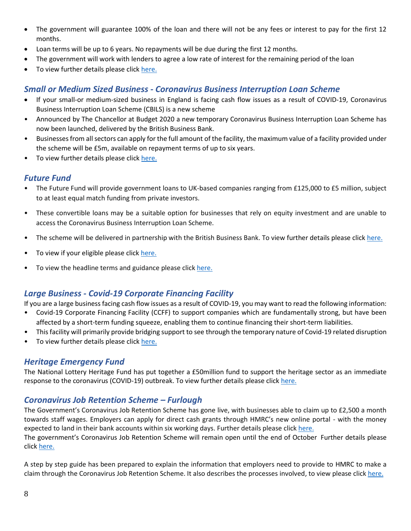- The government will guarantee 100% of the loan and there will not be any fees or interest to pay for the first 12 months.
- Loan terms will be up to 6 years. No repayments will be due during the first 12 months.
- The government will work with lenders to agree a low rate of interest for the remaining period of the loan
- To view further details please click [here.](https://www.gov.uk/guidance/apply-for-a-coronavirus-bounce-back-loan)

## <span id="page-7-0"></span>*Small or Medium Sized Business - Coronavirus Business Interruption Loan Scheme*

- If your small-or medium-sized business in England is facing cash flow issues as a result of COVID-19, Coronavirus Business Interruption Loan Scheme (CBILS) is a new scheme
- Announced by The Chancellor at Budget 2020 a new temporary Coronavirus Business Interruption Loan Scheme has now been launched, delivered by the British Business Bank.
- Businesses from all sectors can apply for the full amount of the facility, the maximum value of a facility provided under the scheme will be £5m, available on repayment terms of up to six years.
- To view further details please click [here.](https://www.british-business-bank.co.uk/ourpartners/coronavirus-business-interruption-loan-scheme-cbils/)

#### <span id="page-7-1"></span>*Future Fund*

- The Future Fund will provide government loans to UK-based companies ranging from £125,000 to £5 million, subject to at least equal match funding from private investors.
- These convertible loans may be a suitable option for businesses that rely on equity investment and are unable to access the Coronavirus Business Interruption Loan Scheme.
- The scheme will be delivered in partnership with the British Business Bank. To view further details please click [here.](https://www.gov.uk/government/news/future-fund-launches-today)
- To view if your eligible please clic[k here.](https://www.gov.uk/guidance/future-fund)
- To view the headline terms and guidance please click [here.](https://assets.publishing.service.gov.uk/government/uploads/system/uploads/attachment_data/file/880119/Convertible_Loan_Key_Terms_-__Final_Version_.pdf)

## <span id="page-7-2"></span>*Large Business - Covid-19 Corporate Financing Facility*

If you are a large business facing cash flow issues as a result of COVID-19, you may want to read the following information:

- Covid-19 Corporate Financing Facility (CCFF) to support companies which are fundamentally strong, but have been affected by a short-term funding squeeze, enabling them to continue financing their short-term liabilities.
- This facility will primarily provide bridging support to see through the temporary nature of Covid-19 related disruption
- To view further details please click [here.](https://www.gov.uk/government/publications/launch-of-covid-19-corporate-financing-facility-ccff)

#### <span id="page-7-3"></span>*Heritage Emergency Fund*

The National Lottery Heritage Fund has put together a £50million fund to support the heritage sector as an immediate response to the coronavirus (COVID-19) outbreak. To view further details please clic[k here.](https://www.heritagefund.org.uk/news/heritage-emergency-fund-launches-help-sector?utm_source=Trustees%20of%20the%20National%20Heritage%20Memorial%20Fund&utm_medium=email&utm_campaign=11448846_News%26Updates-Mar20&utm_content=HEF%20news%20story&dm_i=12AA,6TDZI,SXOQTL,RAONY,1)

#### <span id="page-7-4"></span>*Coronavirus Job Retention Scheme – Furlough*

The Government's Coronavirus Job Retention Scheme has gone live, with businesses able to claim up to £2,500 a month towards staff wages. Employers can apply for direct cash grants through HMRC's new online portal - with the money expected to land in their bank accounts within six working days. Further details please clic[k here.](https://www.gov.uk/government/news/coronavirus-job-retention-scheme-up-and-running?utm_source=8b1c5c91-1aed-4eca-95fe-5e7a4f4a2d59&utm_medium=email&utm_campaign=govuk-notifications&utm_content=daily)

The government's Coronavirus Job Retention Scheme will remain open until the end of October Further details please click [here.](https://www.gov.uk/government/news/chancellor-extends-furlough-scheme-until-october?utm_source=469e4bd6-b6c1-4149-a76b-97f84a86bb07&utm_medium=email&utm_campaign=govuk-notifications&utm_content=daily)

A step by step guide has been prepared to explain the information that employers need to provide to HMRC to make a claim through the Coronavirus Job Retention Scheme. It also describes the processes involved, to view please click [here.](https://assets.publishing.service.gov.uk/government/uploads/system/uploads/attachment_data/file/880376/Coronavirus_Job_Retention_Scheme_step_by_step_guide_for_employers.pdf)